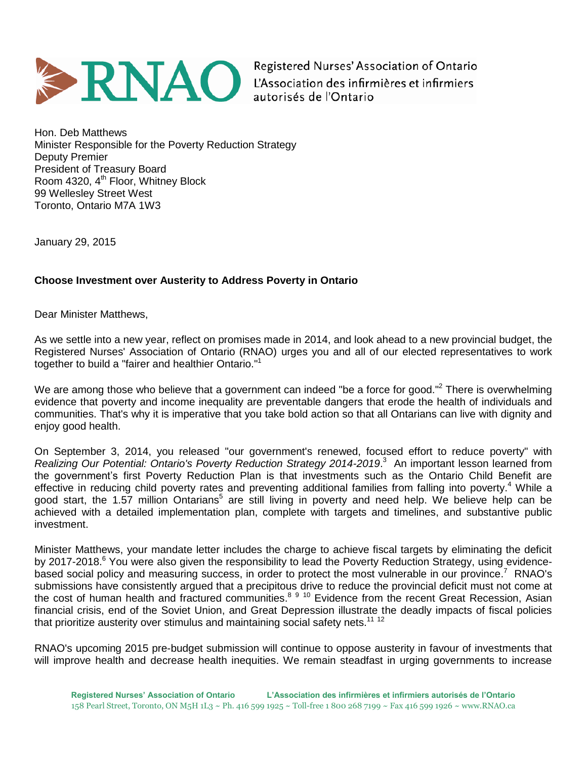

Registered Nurses' Association of Ontario L'Association des infirmières et infirmiers autorisés de l'Ontario

Hon. Deb Matthews Minister Responsible for the Poverty Reduction Strategy Deputy Premier President of Treasury Board Room  $4320$ ,  $4<sup>th</sup>$  Floor, Whitney Block 99 Wellesley Street West Toronto, Ontario M7A 1W3

January 29, 2015

## **Choose Investment over Austerity to Address Poverty in Ontario**

Dear Minister Matthews,

As we settle into a new year, reflect on promises made in 2014, and look ahead to a new provincial budget, the Registered Nurses' Association of Ontario (RNAO) urges you and all of our elected representatives to work together to build a "fairer and healthier Ontario."<sup>1</sup>

We are among those who believe that a government can indeed "be a force for good."<sup>2</sup> There is overwhelming evidence that poverty and income inequality are preventable dangers that erode the health of individuals and communities. That's why it is imperative that you take bold action so that all Ontarians can live with dignity and enjoy good health.

On September 3, 2014, you released "our government's renewed, focused effort to reduce poverty" with *Realizing Our Potential: Ontario's Poverty Reduction Strategy 2014-2019*. <sup>3</sup> An important lesson learned from the government's first Poverty Reduction Plan is that investments such as the Ontario Child Benefit are effective in reducing child poverty rates and preventing additional families from falling into poverty.<sup>4</sup> While a good start, the 1.57 million Ontarians<sup>5</sup> are still living in poverty and need help. We believe help can be achieved with a detailed implementation plan, complete with targets and timelines, and substantive public investment.

Minister Matthews, your mandate letter includes the charge to achieve fiscal targets by eliminating the deficit by 2017-2018.<sup>6</sup> You were also given the responsibility to lead the Poverty Reduction Strategy, using evidencebased social policy and measuring success, in order to protect the most vulnerable in our province.<sup>7</sup> RNAO's submissions have consistently argued that a precipitous drive to reduce the provincial deficit must not come at the cost of human health and fractured communities.<sup>8910</sup> Evidence from the recent Great Recession, Asian financial crisis, end of the Soviet Union, and Great Depression illustrate the deadly impacts of fiscal policies that prioritize austerity over stimulus and maintaining social safety nets.<sup>11 12</sup>

RNAO's upcoming 2015 pre-budget submission will continue to oppose austerity in favour of investments that will improve health and decrease health inequities. We remain steadfast in urging governments to increase